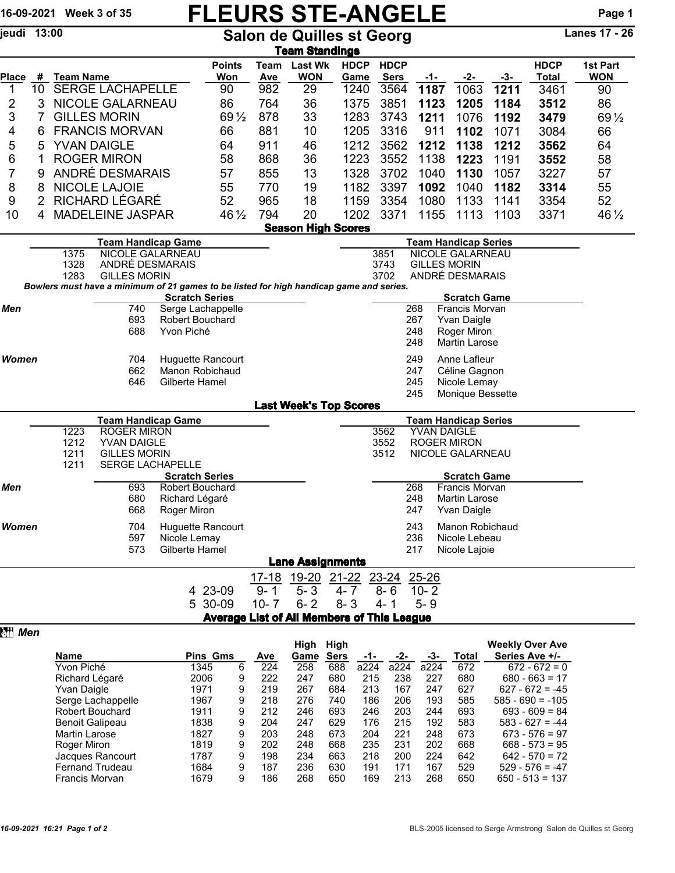## 16-09-2021 Week 3 of 35  $FLEURS$   $STE-ANGELE$  Page 1<br>
FRAGELE Page 1

Salon de Quilles st Georg

|              |                                                          |                                |                                         |                                                                                         |                                                        |                             | <u>Team Standings</u>                             |                     |             |                            |             |                                  |      |                                     |                        |  |
|--------------|----------------------------------------------------------|--------------------------------|-----------------------------------------|-----------------------------------------------------------------------------------------|--------------------------------------------------------|-----------------------------|---------------------------------------------------|---------------------|-------------|----------------------------|-------------|----------------------------------|------|-------------------------------------|------------------------|--|
| <b>Place</b> | #                                                        | <b>Team Name</b>               |                                         |                                                                                         | <b>Points</b><br>Won                                   | Team<br><b>Ave</b>          | <b>Last Wk</b><br><b>WON</b>                      | <b>HDCP</b><br>Game |             | <b>HDCP</b><br><b>Sers</b> | $-1-$       | -2-                              | -3-  | <b>HDCP</b><br><b>Total</b>         | 1st Part<br><b>WON</b> |  |
| 1            | 10 <sup>°</sup>                                          |                                | <b>SERGE LACHAPELLE</b>                 |                                                                                         | 90                                                     | 982                         | 29                                                | 1240                |             | 3564                       | 1187        | 1063                             | 1211 | 3461                                | 90                     |  |
| 2            | 3                                                        | NICOLE GALARNEAU               |                                         |                                                                                         | 86                                                     | 764                         | 36                                                | 1375                |             | 3851                       | 1123        | 1205                             | 1184 | 3512                                | 86                     |  |
| 3            | 7                                                        | <b>GILLES MORIN</b>            |                                         |                                                                                         | 69 1/2                                                 | 878                         | 33                                                | 1283                |             | 3743                       | 1211        | 1076                             | 1192 | 3479                                | 69 1/2                 |  |
| 4            | 6                                                        | <b>FRANCIS MORVAN</b>          |                                         |                                                                                         | 66                                                     | 881                         | 10                                                | 1205                |             | 3316                       | 911         | 1102                             | 1071 | 3084                                | 66                     |  |
| 5            |                                                          | <b>YVAN DAIGLE</b><br>5        |                                         |                                                                                         | 64                                                     | 911                         | 46                                                | 1212                |             | 3562                       | 1212        | 1138                             | 1212 | 3562                                | 64                     |  |
|              |                                                          | <b>ROGER MIRON</b>             |                                         |                                                                                         |                                                        | 868                         |                                                   | 1223                |             | 3552                       | 1138        | 1223                             |      | 3552                                | 58                     |  |
| 6            | 1                                                        |                                |                                         |                                                                                         | 58                                                     |                             | 36                                                |                     |             |                            |             |                                  | 1191 |                                     |                        |  |
| 7            |                                                          | ANDRÉ DESMARAIS<br>9           |                                         |                                                                                         | 57                                                     | 855                         | 13                                                | 1328                |             | 3702                       | 1040        | 1130                             | 1057 | 3227                                | 57                     |  |
| 8            | 8                                                        | NICOLE LAJOIE                  |                                         |                                                                                         | 55                                                     | 770                         | 19                                                | 1182                |             | 3397                       | 1092        | 1040                             | 1182 | 3314                                | 55                     |  |
| 9            | 2                                                        |                                | RICHARD LÉGARÉ                          |                                                                                         | 52                                                     | 965                         | 18                                                | 1159                |             | 3354                       | 1080        | 1133                             | 1141 | 3354                                | 52                     |  |
| 10           | 4                                                        |                                | <b>MADELEINE JASPAR</b>                 |                                                                                         | 46 $\frac{1}{2}$                                       | 794                         | 20                                                | 1202                |             | 3371                       | 1155        | 1113                             | 1103 | 3371                                | 46 1/2                 |  |
|              |                                                          |                                |                                         |                                                                                         |                                                        |                             | <b>Season High Scores</b>                         |                     |             |                            |             |                                  |      |                                     |                        |  |
|              | <b>Team Handicap Game</b>                                |                                |                                         |                                                                                         |                                                        | <b>Team Handicap Series</b> |                                                   |                     |             |                            |             |                                  |      |                                     |                        |  |
|              | 1375<br><b>NICOLE GALARNEAU</b>                          |                                |                                         |                                                                                         | <b>NICOLE GALARNEAU</b><br>3851<br><b>GILLES MORIN</b> |                             |                                                   |                     |             |                            |             |                                  |      |                                     |                        |  |
|              |                                                          | 1328                           | ANDRÉ DESMARAIS                         |                                                                                         |                                                        |                             |                                                   |                     | 3743        |                            |             |                                  |      |                                     |                        |  |
|              |                                                          | 1283                           | <b>GILLES MORIN</b>                     | Bowlers must have a minimum of 21 games to be listed for high handicap game and series. |                                                        |                             |                                                   |                     | 3702        |                            |             | ANDRÉ DESMARAIS                  |      |                                     |                        |  |
|              |                                                          |                                |                                         | <b>Scratch Series</b>                                                                   |                                                        |                             |                                                   |                     |             |                            |             | <b>Scratch Game</b>              |      |                                     |                        |  |
| Men          |                                                          |                                | 740                                     | Serge Lachappelle                                                                       |                                                        |                             |                                                   |                     |             |                            | 268         | Francis Morvan                   |      |                                     |                        |  |
|              |                                                          |                                | 693                                     | <b>Robert Bouchard</b>                                                                  |                                                        |                             |                                                   |                     |             |                            | 267         | Yvan Daigle                      |      |                                     |                        |  |
|              |                                                          |                                | 688                                     | Yvon Piché                                                                              |                                                        |                             |                                                   |                     |             |                            | 248         | Roger Miron                      |      |                                     |                        |  |
|              |                                                          |                                |                                         |                                                                                         |                                                        |                             |                                                   |                     |             |                            | 248         | Martin Larose                    |      |                                     |                        |  |
| <b>Women</b> |                                                          |                                | 704                                     | Huguette Rancourt                                                                       |                                                        |                             |                                                   |                     |             |                            | 249         | Anne Lafleur                     |      |                                     |                        |  |
|              |                                                          |                                | 662                                     | Manon Robichaud                                                                         |                                                        |                             |                                                   |                     |             |                            | 247         | Céline Gagnon                    |      |                                     |                        |  |
|              |                                                          |                                | 646                                     | Gilberte Hamel                                                                          |                                                        |                             |                                                   |                     |             |                            | 245         | Nicole Lemay                     |      |                                     |                        |  |
|              |                                                          |                                |                                         |                                                                                         |                                                        |                             |                                                   |                     |             |                            | 245         | Monique Bessette                 |      |                                     |                        |  |
|              |                                                          |                                |                                         |                                                                                         |                                                        |                             | <b>Last Week's Top Scores</b>                     |                     |             |                            |             |                                  |      |                                     |                        |  |
|              | <b>Team Handicap Game</b><br><b>Team Handicap Series</b> |                                |                                         |                                                                                         |                                                        |                             |                                                   |                     |             |                            |             |                                  |      |                                     |                        |  |
|              |                                                          | 1223<br><b>ROGER MIRON</b>     |                                         |                                                                                         |                                                        |                             |                                                   | 3562<br>YVAN DAIGLE |             |                            |             |                                  |      |                                     |                        |  |
|              |                                                          | 1212                           | <b>YVAN DAIGLE</b>                      |                                                                                         |                                                        |                             |                                                   |                     | 3552        |                            |             | <b>ROGER MIRON</b>               |      |                                     |                        |  |
|              |                                                          | 1211                           | <b>GILLES MORIN</b><br>SERGE LACHAPELLE |                                                                                         |                                                        |                             |                                                   |                     | 3512        |                            |             | NICOLE GALARNEAU                 |      |                                     |                        |  |
|              |                                                          | 1211                           |                                         | <b>Scratch Series</b>                                                                   |                                                        |                             |                                                   |                     |             |                            |             | <b>Scratch Game</b>              |      |                                     |                        |  |
| Men          |                                                          | 693<br><b>Robert Bouchard</b>  |                                         |                                                                                         |                                                        |                             |                                                   |                     |             |                            | 268         | <b>Francis Morvan</b>            |      |                                     |                        |  |
|              |                                                          |                                | 680                                     | Richard Légaré                                                                          |                                                        |                             |                                                   |                     |             |                            | 248         | Martin Larose                    |      |                                     |                        |  |
|              |                                                          |                                | 668                                     | Roger Miron                                                                             |                                                        |                             |                                                   |                     |             |                            | 247         | <b>Yvan Daigle</b>               |      |                                     |                        |  |
|              |                                                          |                                |                                         |                                                                                         |                                                        |                             |                                                   |                     |             |                            |             |                                  |      |                                     |                        |  |
| Women        |                                                          |                                | 704<br>597                              | <b>Huguette Rancourt</b><br>Nicole Lemay                                                |                                                        |                             |                                                   |                     |             |                            | 243<br>236  | Manon Robichaud<br>Nicole Lebeau |      |                                     |                        |  |
|              |                                                          |                                | 573                                     | Gilberte Hamel                                                                          |                                                        |                             |                                                   |                     |             |                            | 217         | Nicole Lajoie                    |      |                                     |                        |  |
|              |                                                          |                                |                                         |                                                                                         |                                                        |                             | <b>Lane Assignments</b>                           |                     |             |                            |             |                                  |      |                                     |                        |  |
|              |                                                          |                                |                                         |                                                                                         |                                                        | $17 - 18$                   | 19-20 21-22 23-24                                 |                     |             |                            | $25 - 26$   |                                  |      |                                     |                        |  |
|              |                                                          |                                |                                         |                                                                                         | 4 23-09                                                | $9 - 1$                     | $5 - 3$                                           | $4 - 7$             |             |                            | $10 - 2$    |                                  |      |                                     |                        |  |
|              |                                                          |                                |                                         |                                                                                         |                                                        |                             |                                                   |                     |             | $8 - 6$                    |             |                                  |      |                                     |                        |  |
|              |                                                          |                                |                                         |                                                                                         | 5 30-09                                                | $10 - 7$                    | $6 - 2$                                           | $8 - 3$             | $4 - 1$     |                            | $5 - 9$     |                                  |      |                                     |                        |  |
|              |                                                          |                                |                                         |                                                                                         |                                                        |                             | <b>Average List of All Members of This League</b> |                     |             |                            |             |                                  |      |                                     |                        |  |
| 图 Men        |                                                          |                                |                                         |                                                                                         |                                                        |                             |                                                   |                     |             |                            |             |                                  |      |                                     |                        |  |
|              |                                                          | <b>Pins Gms</b>                |                                         |                                                                                         |                                                        |                             | High High                                         |                     |             |                            |             |                                  |      | <b>Weekly Over Ave</b>              |                        |  |
|              |                                                          | Name                           |                                         |                                                                                         |                                                        | <b>Ave</b>                  | Game                                              | <b>Sers</b>         | <u>-1-</u>  | -2-                        | $-3-$       | <b>Total</b>                     |      | Series Ave +/-                      |                        |  |
|              |                                                          | Yvon Piché                     |                                         | 1345<br>2006                                                                            | 6<br>9                                                 | 224<br>222                  | 258<br>247                                        | 688<br>680          | a224<br>215 | a224<br>238                | a224<br>227 | 672<br>680                       |      | $672 - 672 = 0$<br>$680 - 663 = 17$ |                        |  |
|              |                                                          | Richard Légaré<br>Yvan Daigle  |                                         | 1971                                                                                    | 9                                                      | 219                         | 267                                               | 684                 | 213         | 167                        | 247         | 627                              |      | $627 - 672 = -45$                   |                        |  |
|              |                                                          | Serge Lachappelle<br>1967      |                                         |                                                                                         | 9                                                      | 218                         | 276                                               | 740                 | 186         | 206                        | 193         | 585                              |      | $585 - 690 = -105$                  |                        |  |
|              |                                                          | <b>Robert Bouchard</b><br>1911 |                                         |                                                                                         | 9                                                      | 212                         | 246                                               | 693                 | 246         | 203                        | 244         | 693                              |      | $693 - 609 = 84$                    |                        |  |
|              |                                                          | 1838<br><b>Benoit Galipeau</b> |                                         |                                                                                         | 9                                                      | 204                         | 247                                               | 629                 | 176         | 215                        | 192         | 583                              |      | $583 - 627 = -44$                   |                        |  |
|              |                                                          | Martin Larose                  |                                         | 1827                                                                                    | 9                                                      | 203                         | 248                                               | 673                 | 204         | 221                        | 248         | 673                              |      | $673 - 576 = 97$                    |                        |  |
|              |                                                          | Roger Miron                    |                                         | 1819                                                                                    | 9                                                      | 202                         | 248                                               | 668                 | 235         | 231                        | 202         | 668                              |      | $668 - 573 = 95$                    |                        |  |
|              |                                                          |                                | Jacques Rancourt                        | 1787                                                                                    | 9                                                      | 198                         | 234                                               | 663                 | 218         | 200                        | 224         | 642                              |      | $642 - 570 = 72$                    |                        |  |
|              |                                                          |                                | Fernand Trudeau                         | 1684                                                                                    | 9                                                      | 187                         | 236                                               | 630                 | 191         | 171                        | 167         | 529                              |      | $529 - 576 = -47$                   |                        |  |

Fernand Trudeau 1684 9 187 236 630 191 171 167 529 529 - 576 = -47<br>Francis Morvan 1679 9 186 268 650 169 213 268 650 650 - 513 = 137

Francis Morvan 1679 9 186 268 650 169 213 268 650 650 - 513 = 137